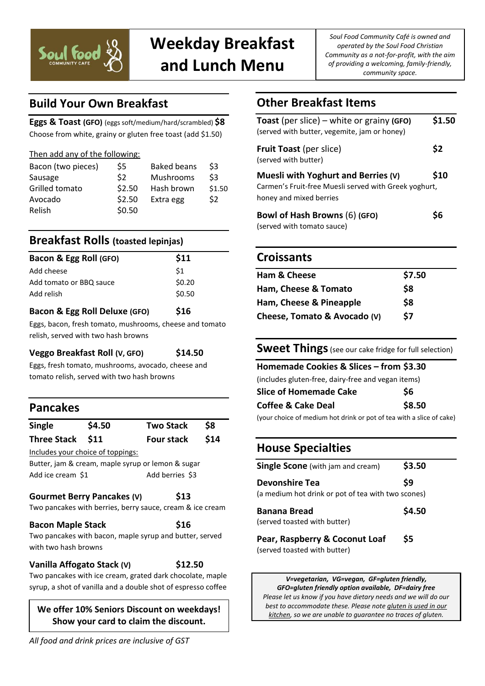

# **Weekday Breakfast and Lunch Menu**

*Soul Food Community Café is owned and operated by the Soul Food Christian Community as a not-for-profit, with the aim of providing a welcoming, family-friendly, community space.*

# **Build Your Own Breakfast**

**Eggs & Toast (GFO)** (eggs soft/medium/hard/scrambled) **\$8** Choose from white, grainy or gluten free toast (add \$1.50)

| Then add any of the following: |
|--------------------------------|
|--------------------------------|

| Bacon (two pieces) | \$5    | <b>Baked beans</b> | \$3    |
|--------------------|--------|--------------------|--------|
| Sausage            | \$2    | Mushrooms          | \$3    |
| Grilled tomato     | \$2.50 | Hash brown         | \$1.50 |
| Avocado            | \$2.50 | Extra egg          | \$2    |
| Relish             | \$0.50 |                    |        |

### **Breakfast Rolls (toasted lepinjas)**

| Bacon & Egg Roll (GFO)  | \$11   |
|-------------------------|--------|
| Add cheese              | \$1    |
| Add tomato or BBQ sauce | \$0.20 |
| Add relish              | \$0.50 |
|                         |        |

#### **Bacon & Egg Roll Deluxe (GFO) \$16**

Eggs, bacon, fresh tomato, mushrooms, cheese and tomato relish, served with two hash browns

**Veggo Breakfast Roll (V, GFO) \$14.50**

Eggs, fresh tomato, mushrooms, avocado, cheese and tomato relish, served with two hash browns

### **Pancakes**

| \$4.50               |                                                                       |                                                                                                                                                                                                                |
|----------------------|-----------------------------------------------------------------------|----------------------------------------------------------------------------------------------------------------------------------------------------------------------------------------------------------------|
|                      | <b>Two Stack</b>                                                      | \$8                                                                                                                                                                                                            |
|                      | <b>Four stack</b>                                                     | \$14                                                                                                                                                                                                           |
|                      |                                                                       |                                                                                                                                                                                                                |
|                      |                                                                       |                                                                                                                                                                                                                |
|                      | Add berries \$3                                                       |                                                                                                                                                                                                                |
|                      | \$13                                                                  |                                                                                                                                                                                                                |
| with two hash browns | \$16                                                                  |                                                                                                                                                                                                                |
|                      | \$11<br>Includes your choice of toppings:<br><b>Bacon Maple Stack</b> | Butter, jam & cream, maple syrup or lemon & sugar<br><b>Gourmet Berry Pancakes (V)</b><br>Two pancakes with berries, berry sauce, cream & ice cream<br>Two pancakes with bacon, maple syrup and butter, served |

#### **Vanilla Affogato Stack (V) \$12.50**

Two pancakes with ice cream, grated dark chocolate, maple syrup, a shot of vanilla and a double shot of espresso coffee

*kitchen, so we are unable to guarantee no traces of gluten.* **We offer 10% Seniors Discount on weekdays! Show your card to claim the discount.**

# **Other Breakfast Items**

| Toast (per slice) – white or grainy (GFO)<br>(served with butter, vegemite, jam or honey)                               | \$1.50 |
|-------------------------------------------------------------------------------------------------------------------------|--------|
| <b>Fruit Toast</b> (per slice)<br>(served with butter)                                                                  | \$2    |
| Muesli with Yoghurt and Berries (V)<br>Carmen's Fruit-free Muesli served with Greek yoghurt,<br>honey and mixed berries | \$10   |
| Bowl of Hash Browns (6) (GFO)<br>(served with tomato sauce)                                                             | S6     |

### **Croissants**

| \$7.50 |
|--------|
| \$8    |
| \$8    |
| \$7    |
|        |

#### **Sweet Things** (see our cake fridge for full selection)

| Homemade Cookies & Slices - from \$3.30            |        |  |
|----------------------------------------------------|--------|--|
| (includes gluten-free, dairy-free and vegan items) |        |  |
| <b>Slice of Homemade Cake</b>                      | \$6    |  |
| <b>Coffee &amp; Cake Deal</b>                      | \$8.50 |  |
|                                                    |        |  |

(your choice of medium hot drink or pot of tea with a slice of cake)

# **House Specialties**

| <b>Single Scone</b> (with jam and cream)                                    | \$3.50 |
|-----------------------------------------------------------------------------|--------|
| <b>Devonshire Tea</b><br>(a medium hot drink or pot of tea with two scones) | \$9    |
| <b>Banana Bread</b><br>(served toasted with butter)                         | \$4.50 |
| Pear, Raspberry & Coconut Loaf                                              | Ś5     |

(served toasted with butter)

*V=vegetarian, VG=vegan, GF=gluten friendly, GFO=gluten friendly option available, DF=dairy free Please let us know if you have dietary needs and we will do our best to accommodate these. Please note gluten is used in our*